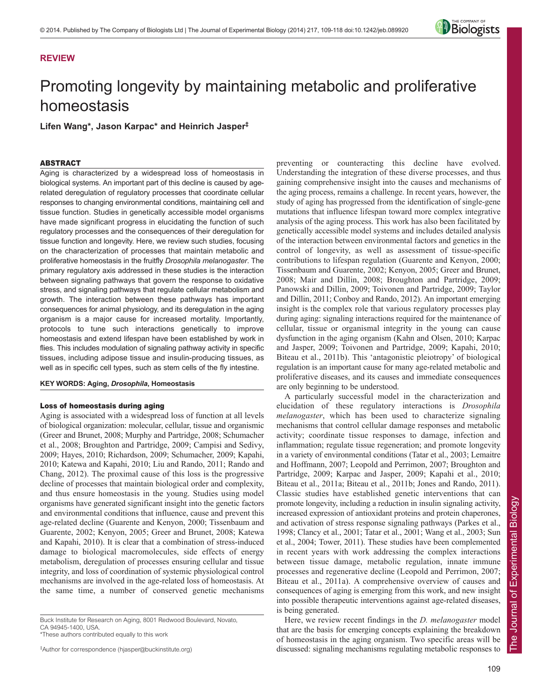# **REVIEW**

# Promoting longevity by maintaining metabolic and proliferative homeostasis

**Lifen Wang\*, Jason Karpac\* and Heinrich Jasper‡**

#### ABSTRACT

Aging is characterized by a widespread loss of homeostasis in biological systems. An important part of this decline is caused by agerelated deregulation of regulatory processes that coordinate cellular responses to changing environmental conditions, maintaining cell and tissue function. Studies in genetically accessible model organisms have made significant progress in elucidating the function of such regulatory processes and the consequences of their deregulation for tissue function and longevity. Here, we review such studies, focusing on the characterization of processes that maintain metabolic and proliferative homeostasis in the fruitfly *Drosophila melanogaster*. The primary regulatory axis addressed in these studies is the interaction between signaling pathways that govern the response to oxidative stress, and signaling pathways that regulate cellular metabolism and growth. The interaction between these pathways has important consequences for animal physiology, and its deregulation in the aging organism is a major cause for increased mortality. Importantly, protocols to tune such interactions genetically to improve homeostasis and extend lifespan have been established by work in flies. This includes modulation of signaling pathway activity in specific tissues, including adipose tissue and insulin-producing tissues, as well as in specific cell types, such as stem cells of the fly intestine.

#### **KEY WORDS: Aging,** *Drosophila***, Homeostasis**

# Loss of homeostasis during aging

Aging is associated with a widespread loss of function at all levels of biological organization: molecular, cellular, tissue and organismic (Greer and Brunet, 2008; Murphy and Partridge, 2008; Schumacher et al., 2008; Broughton and Partridge, 2009; Campisi and Sedivy, 2009; Hayes, 2010; Richardson, 2009; Schumacher, 2009; Kapahi, 2010; Katewa and Kapahi, 2010; Liu and Rando, 2011; Rando and Chang, 2012). The proximal cause of this loss is the progressive decline of processes that maintain biological order and complexity, and thus ensure homeostasis in the young. Studies using model organisms have generated significant insight into the genetic factors and environmental conditions that influence, cause and prevent this age-related decline (Guarente and Kenyon, 2000; Tissenbaum and Guarente, 2002; Kenyon, 2005; Greer and Brunet, 2008; Katewa and Kapahi, 2010). It is clear that a combination of stress-induced damage to biological macromolecules, side effects of energy metabolism, deregulation of processes ensuring cellular and tissue integrity, and loss of coordination of systemic physiological control mechanisms are involved in the age-related loss of homeostasis. At the same time, a number of conserved genetic mechanisms

Buck Institute for Research on Aging, 8001 Redwood Boulevard, Novato, CA 94945-1400, USA.

\*These authors contributed equally to this work

‡ Author for correspondence (hjasper@buckinstitute.org)

preventing or counteracting this decline have evolved. Understanding the integration of these diverse processes, and thus gaining comprehensive insight into the causes and mechanisms of the aging process, remains a challenge. In recent years, however, the study of aging has progressed from the identification of single-gene mutations that influence lifespan toward more complex integrative analysis of the aging process. This work has also been facilitated by genetically accessible model systems and includes detailed analysis of the interaction between environmental factors and genetics in the control of longevity, as well as assessment of tissue-specific contributions to lifespan regulation (Guarente and Kenyon, 2000; Tissenbaum and Guarente, 2002; Kenyon, 2005; Greer and Brunet, 2008; Mair and Dillin, 2008; Broughton and Partridge, 2009; Panowski and Dillin, 2009; Toivonen and Partridge, 2009; Taylor and Dillin, 2011; Conboy and Rando, 2012). An important emerging insight is the complex role that various regulatory processes play during aging: signaling interactions required for the maintenance of cellular, tissue or organismal integrity in the young can cause dysfunction in the aging organism (Kahn and Olsen, 2010; Karpac and Jasper, 2009; Toivonen and Partridge, 2009; Kapahi, 2010; Biteau et al., 2011b). This 'antagonistic pleiotropy' of biological regulation is an important cause for many age-related metabolic and proliferative diseases, and its causes and immediate consequences are only beginning to be understood.

A particularly successful model in the characterization and elucidation of these regulatory interactions is *Drosophila melanogaster*, which has been used to characterize signaling mechanisms that control cellular damage responses and metabolic activity; coordinate tissue responses to damage, infection and inflammation; regulate tissue regeneration; and promote longevity in a variety of environmental conditions (Tatar et al., 2003; Lemaitre and Hoffmann, 2007; Leopold and Perrimon, 2007; Broughton and Partridge, 2009; Karpac and Jasper, 2009; Kapahi et al., 2010; Biteau et al., 2011a; Biteau et al., 2011b; Jones and Rando, 2011). Classic studies have established genetic interventions that can promote longevity, including a reduction in insulin signaling activity, increased expression of antioxidant proteins and protein chaperones, and activation of stress response signaling pathways (Parkes et al., 1998; Clancy et al., 2001; Tatar et al., 2001; Wang et al., 2003; Sun et al., 2004; Tower, 2011). These studies have been complemented in recent years with work addressing the complex interactions between tissue damage, metabolic regulation, innate immune processes and regenerative decline (Leopold and Perrimon, 2007; Biteau et al., 2011a). A comprehensive overview of causes and consequences of aging is emerging from this work, and new insight into possible therapeutic interventions against age-related diseases, is being generated.

Here, we review recent findings in the *D. melanogaster* model that are the basis for emerging concepts explaining the breakdown of homeostasis in the aging organism. Two specific areas will be discussed: signaling mechanisms regulating metabolic responses to

Biology

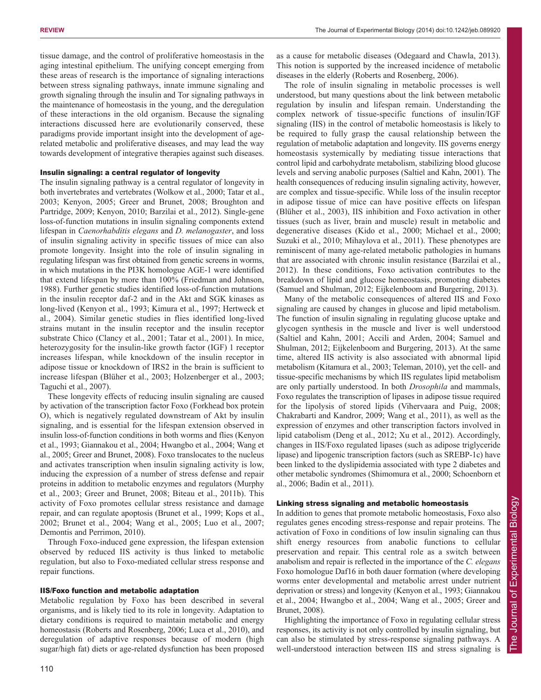tissue damage, and the control of proliferative homeostasis in the aging intestinal epithelium. The unifying concept emerging from these areas of research is the importance of signaling interactions between stress signaling pathways, innate immune signaling and growth signaling through the insulin and Tor signaling pathways in the maintenance of homeostasis in the young, and the deregulation of these interactions in the old organism. Because the signaling interactions discussed here are evolutionarily conserved, these paradigms provide important insight into the development of agerelated metabolic and proliferative diseases, and may lead the way towards development of integrative therapies against such diseases.

## Insulin signaling: a central regulator of longevity

The insulin signaling pathway is a central regulator of longevity in both invertebrates and vertebrates (Wolkow et al., 2000; Tatar et al., 2003; Kenyon, 2005; Greer and Brunet, 2008; Broughton and Partridge, 2009; Kenyon, 2010; Barzilai et al., 2012). Single-gene loss-of-function mutations in insulin signaling components extend lifespan in *Caenorhabditis elegans* and *D. melanogaster*, and loss of insulin signaling activity in specific tissues of mice can also promote longevity. Insight into the role of insulin signaling in regulating lifespan was first obtained from genetic screens in worms, in which mutations in the PI3K homologue AGE-1 were identified that extend lifespan by more than 100% (Friedman and Johnson, 1988). Further genetic studies identified loss-of-function mutations in the insulin receptor daf-2 and in the Akt and SGK kinases as long-lived (Kenyon et al., 1993; Kimura et al., 1997; Hertweck et al., 2004). Similar genetic studies in flies identified long-lived strains mutant in the insulin receptor and the insulin receptor substrate Chico (Clancy et al., 2001; Tatar et al., 2001). In mice, heterozygosity for the insulin-like growth factor (IGF) 1 receptor increases lifespan, while knockdown of the insulin receptor in adipose tissue or knockdown of IRS2 in the brain is sufficient to increase lifespan (Blüher et al., 2003; Holzenberger et al., 2003; Taguchi et al., 2007).

These longevity effects of reducing insulin signaling are caused by activation of the transcription factor Foxo (Forkhead box protein O), which is negatively regulated downstream of Akt by insulin signaling, and is essential for the lifespan extension observed in insulin loss-of-function conditions in both worms and flies (Kenyon et al., 1993; Giannakou et al., 2004; Hwangbo et al., 2004; Wang et al., 2005; Greer and Brunet, 2008). Foxo translocates to the nucleus and activates transcription when insulin signaling activity is low, inducing the expression of a number of stress defense and repair proteins in addition to metabolic enzymes and regulators (Murphy et al., 2003; Greer and Brunet, 2008; Biteau et al., 2011b). This activity of Foxo promotes cellular stress resistance and damage repair, and can regulate apoptosis (Brunet et al., 1999; Kops et al., 2002; Brunet et al., 2004; Wang et al., 2005; Luo et al., 2007; Demontis and Perrimon, 2010).

Through Foxo-induced gene expression, the lifespan extension observed by reduced IIS activity is thus linked to metabolic regulation, but also to Foxo-mediated cellular stress response and repair functions.

#### IIS/Foxo function and metabolic adaptation

Metabolic regulation by Foxo has been described in several organisms, and is likely tied to its role in longevity. Adaptation to dietary conditions is required to maintain metabolic and energy homeostasis (Roberts and Rosenberg, 2006; Luca et al., 2010), and deregulation of adaptive responses because of modern (high sugar/high fat) diets or age-related dysfunction has been proposed as a cause for metabolic diseases (Odegaard and Chawla, 2013). This notion is supported by the increased incidence of metabolic diseases in the elderly (Roberts and Rosenberg, 2006).

The role of insulin signaling in metabolic processes is well understood, but many questions about the link between metabolic regulation by insulin and lifespan remain. Understanding the complex network of tissue-specific functions of insulin/IGF signaling (IIS) in the control of metabolic homeostasis is likely to be required to fully grasp the causal relationship between the regulation of metabolic adaptation and longevity. IIS governs energy homeostasis systemically by mediating tissue interactions that control lipid and carbohydrate metabolism, stabilizing blood glucose levels and serving anabolic purposes (Saltiel and Kahn, 2001). The health consequences of reducing insulin signaling activity, however, are complex and tissue-specific. While loss of the insulin receptor in adipose tissue of mice can have positive effects on lifespan (Blüher et al., 2003), IIS inhibition and Foxo activation in other tissues (such as liver, brain and muscle) result in metabolic and degenerative diseases (Kido et al., 2000; Michael et al., 2000; Suzuki et al., 2010; Mihaylova et al., 2011). These phenotypes are reminiscent of many age-related metabolic pathologies in humans that are associated with chronic insulin resistance (Barzilai et al., 2012). In these conditions, Foxo activation contributes to the breakdown of lipid and glucose homeostasis, promoting diabetes (Samuel and Shulman, 2012; Eijkelenboom and Burgering, 2013).

Many of the metabolic consequences of altered IIS and Foxo signaling are caused by changes in glucose and lipid metabolism. The function of insulin signaling in regulating glucose uptake and glycogen synthesis in the muscle and liver is well understood (Saltiel and Kahn, 2001; Accili and Arden, 2004; Samuel and Shulman, 2012; Eijkelenboom and Burgering, 2013). At the same time, altered IIS activity is also associated with abnormal lipid metabolism (Kitamura et al., 2003; Teleman, 2010), yet the cell- and tissue-specific mechanisms by which IIS regulates lipid metabolism are only partially understood. In both *Drosophila* and mammals, Foxo regulates the transcription of lipases in adipose tissue required for the lipolysis of stored lipids (Vihervaara and Puig, 2008; Chakrabarti and Kandror, 2009; Wang et al., 2011), as well as the expression of enzymes and other transcription factors involved in lipid catabolism (Deng et al., 2012; Xu et al., 2012). Accordingly, changes in IIS/Foxo regulated lipases (such as adipose triglyceride lipase) and lipogenic transcription factors (such as SREBP-1c) have been linked to the dyslipidemia associated with type 2 diabetes and other metabolic syndromes (Shimomura et al., 2000; Schoenborn et al., 2006; Badin et al., 2011).

# Linking stress signaling and metabolic homeostasis

In addition to genes that promote metabolic homeostasis, Foxo also regulates genes encoding stress-response and repair proteins. The activation of Foxo in conditions of low insulin signaling can thus shift energy resources from anabolic functions to cellular preservation and repair. This central role as a switch between anabolism and repair is reflected in the importance of the *C. elegans* Foxo homologue Daf16 in both dauer formation (where developing worms enter developmental and metabolic arrest under nutrient deprivation or stress) and longevity (Kenyon et al., 1993; Giannakou et al., 2004; Hwangbo et al., 2004; Wang et al., 2005; Greer and Brunet, 2008).

Highlighting the importance of Foxo in regulating cellular stress responses, its activity is not only controlled by insulin signaling, but can also be stimulated by stress-response signaling pathways. A well-understood interaction between IIS and stress signaling is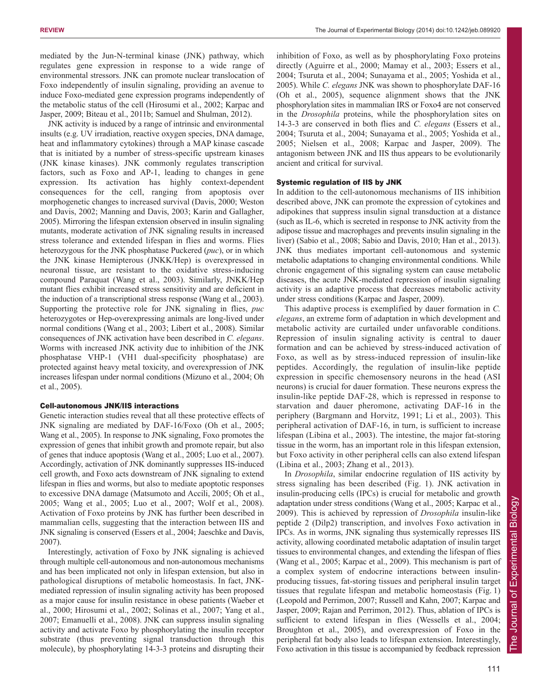mediated by the Jun-N-terminal kinase (JNK) pathway, which regulates gene expression in response to a wide range of environmental stressors. JNK can promote nuclear translocation of Foxo independently of insulin signaling, providing an avenue to induce Foxo-mediated gene expression programs independently of the metabolic status of the cell (Hirosumi et al., 2002; Karpac and Jasper, 2009; Biteau et al., 2011b; Samuel and Shulman, 2012).

JNK activity is induced by a range of intrinsic and environmental insults (e.g. UV irradiation, reactive oxygen species, DNA damage, heat and inflammatory cytokines) through a MAP kinase cascade that is initiated by a number of stress-specific upstream kinases (JNK kinase kinases). JNK commonly regulates transcription factors, such as Foxo and AP-1, leading to changes in gene expression. Its activation has highly context-dependent consequences for the cell, ranging from apoptosis over morphogenetic changes to increased survival (Davis, 2000; Weston and Davis, 2002; Manning and Davis, 2003; Karin and Gallagher, 2005). Mirroring the lifespan extension observed in insulin signaling mutants, moderate activation of JNK signaling results in increased stress tolerance and extended lifespan in flies and worms. Flies heterozygous for the JNK phosphatase Puckered (*puc*), or in which the JNK kinase Hemipterous (JNKK/Hep) is overexpressed in neuronal tissue, are resistant to the oxidative stress-inducing compound Paraquat (Wang et al., 2003). Similarly, JNKK/Hep mutant flies exhibit increased stress sensitivity and are deficient in the induction of a transcriptional stress response (Wang et al., 2003). Supporting the protective role for JNK signaling in flies, *puc* heterozygotes or Hep-overexpressing animals are long-lived under normal conditions (Wang et al., 2003; Libert et al., 2008). Similar consequences of JNK activation have been described in *C. elegans*. Worms with increased JNK activity due to inhibition of the JNK phosphatase VHP-1 (VH1 dual-specificity phosphatase) are protected against heavy metal toxicity, and overexpression of JNK increases lifespan under normal conditions (Mizuno et al., 2004; Oh et al., 2005).

#### Cell-autonomous JNK/IIS interactions

Genetic interaction studies reveal that all these protective effects of JNK signaling are mediated by DAF-16/Foxo (Oh et al., 2005; Wang et al., 2005). In response to JNK signaling, Foxo promotes the expression of genes that inhibit growth and promote repair, but also of genes that induce apoptosis (Wang et al., 2005; Luo et al., 2007). Accordingly, activation of JNK dominantly suppresses IIS-induced cell growth, and Foxo acts downstream of JNK signaling to extend lifespan in flies and worms, but also to mediate apoptotic responses to excessive DNA damage (Matsumoto and Accili, 2005; Oh et al., 2005; Wang et al., 2005; Luo et al., 2007; Wolf et al., 2008). Activation of Foxo proteins by JNK has further been described in mammalian cells, suggesting that the interaction between IIS and JNK signaling is conserved (Essers et al., 2004; Jaeschke and Davis, 2007).

Interestingly, activation of Foxo by JNK signaling is achieved through multiple cell-autonomous and non-autonomous mechanisms and has been implicated not only in lifespan extension, but also in pathological disruptions of metabolic homeostasis. In fact, JNKmediated repression of insulin signaling activity has been proposed as a major cause for insulin resistance in obese patients (Waeber et al., 2000; Hirosumi et al., 2002; Solinas et al., 2007; Yang et al., 2007; Emanuelli et al., 2008). JNK can suppress insulin signaling activity and activate Foxo by phosphorylating the insulin receptor substrate (thus preventing signal transduction through this molecule), by phosphorylating 14-3-3 proteins and disrupting their inhibition of Foxo, as well as by phosphorylating Foxo proteins directly (Aguirre et al., 2000; Mamay et al., 2003; Essers et al., 2004; Tsuruta et al., 2004; Sunayama et al., 2005; Yoshida et al., 2005). While *C. elegans* JNK was shown to phosphorylate DAF-16 (Oh et al., 2005), sequence alignment shows that the JNK phosphorylation sites in mammalian IRS or Foxo4 are not conserved in the *Drosophila* proteins, while the phosphorylation sites on 14-3-3 are conserved in both flies and *C. elegans* (Essers et al., 2004; Tsuruta et al., 2004; Sunayama et al., 2005; Yoshida et al., 2005; Nielsen et al., 2008; Karpac and Jasper, 2009). The antagonism between JNK and IIS thus appears to be evolutionarily ancient and critical for survival.

#### Systemic regulation of IIS by JNK

In addition to the cell-autonomous mechanisms of IIS inhibition described above, JNK can promote the expression of cytokines and adipokines that suppress insulin signal transduction at a distance (such as IL-6, which is secreted in response to JNK activity from the adipose tissue and macrophages and prevents insulin signaling in the liver) (Sabio et al., 2008; Sabio and Davis, 2010; Han et al., 2013). JNK thus mediates important cell-autonomous and systemic metabolic adaptations to changing environmental conditions. While chronic engagement of this signaling system can cause metabolic diseases, the acute JNK-mediated repression of insulin signaling activity is an adaptive process that decreases metabolic activity under stress conditions (Karpac and Jasper, 2009).

This adaptive process is exemplified by dauer formation in *C. elegans*, an extreme form of adaptation in which development and metabolic activity are curtailed under unfavorable conditions. Repression of insulin signaling activity is central to dauer formation and can be achieved by stress-induced activation of Foxo, as well as by stress-induced repression of insulin-like peptides. Accordingly, the regulation of insulin-like peptide expression in specific chemosensory neurons in the head (ASI neurons) is crucial for dauer formation. These neurons express the insulin-like peptide DAF-28, which is repressed in response to starvation and dauer pheromone, activating DAF-16 in the periphery (Bargmann and Horvitz, 1991; Li et al., 2003). This peripheral activation of DAF-16, in turn, is sufficient to increase lifespan (Libina et al., 2003). The intestine, the major fat-storing tissue in the worm, has an important role in this lifespan extension, but Foxo activity in other peripheral cells can also extend lifespan (Libina et al., 2003; Zhang et al., 2013).

In *Drosophila*, similar endocrine regulation of IIS activity by stress signaling has been described (Fig. 1). JNK activation in insulin-producing cells (IPCs) is crucial for metabolic and growth adaptation under stress conditions (Wang et al., 2005; Karpac et al., 2009). This is achieved by repression of *Drosophila* insulin-like peptide 2 (Dilp2) transcription, and involves Foxo activation in IPCs. As in worms, JNK signaling thus systemically represses IIS activity, allowing coordinated metabolic adaptation of insulin target tissues to environmental changes, and extending the lifespan of flies (Wang et al., 2005; Karpac et al., 2009). This mechanism is part of a complex system of endocrine interactions between insulinproducing tissues, fat-storing tissues and peripheral insulin target tissues that regulate lifespan and metabolic homeostasis (Fig. 1) (Leopold and Perrimon, 2007; Russell and Kahn, 2007; Karpac and Jasper, 2009; Rajan and Perrimon, 2012). Thus, ablation of IPCs is sufficient to extend lifespan in flies (Wessells et al., 2004; Broughton et al., 2005), and overexpression of Foxo in the peripheral fat body also leads to lifespan extension. Interestingly, Foxo activation in this tissue is accompanied by feedback repression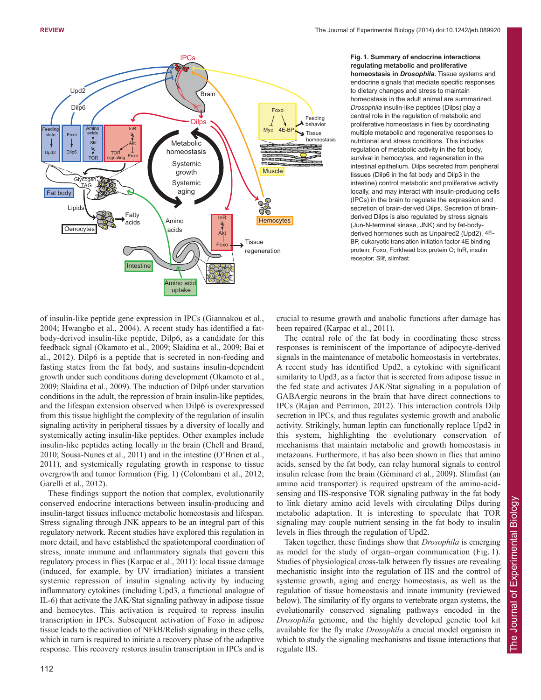

**Fig. 1. Summary of endocrine interactions regulating metabolic and proliferative homeostasis in** *Drosophila***.** Tissue systems and endocrine signals that mediate specific responses to dietary changes and stress to maintain homeostasis in the adult animal are summarized. *Drosophila* insulin-like peptides (Dilps) play a central role in the regulation of metabolic and proliferative homeostasis in flies by coordinating multiple metabolic and regenerative responses to nutritional and stress conditions. This includes regulation of metabolic activity in the fat body, survival in hemocytes, and regeneration in the intestinal epithelium. Dilps secreted from peripheral tissues (Dilp6 in the fat body and Dilp3 in the intestine) control metabolic and proliferative activity locally, and may interact with insulin-producing cells (IPCs) in the brain to regulate the expression and secretion of brain-derived Dilps. Secretion of brainderived Dilps is also regulated by stress signals (Jun-N-terminal kinase, JNK) and by fat-bodyderived hormones such as Unpaired2 (Upd2). 4E-BP, eukaryotic translation initiation factor 4E binding protein; Foxo, Forkhead box protein O; InR, insulin receptor; Slif, slimfast.

of insulin-like peptide gene expression in IPCs (Giannakou et al., 2004; Hwangbo et al., 2004). A recent study has identified a fatbody-derived insulin-like peptide, Dilp6, as a candidate for this feedback signal (Okamoto et al., 2009; Slaidina et al., 2009; Bai et al., 2012). Dilp6 is a peptide that is secreted in non-feeding and fasting states from the fat body, and sustains insulin-dependent growth under such conditions during development (Okamoto et al., 2009; Slaidina et al., 2009). The induction of Dilp6 under starvation conditions in the adult, the repression of brain insulin-like peptides, and the lifespan extension observed when Dilp6 is overexpressed from this tissue highlight the complexity of the regulation of insulin signaling activity in peripheral tissues by a diversity of locally and systemically acting insulin-like peptides. Other examples include insulin-like peptides acting locally in the brain (Chell and Brand, 2010; Sousa-Nunes et al., 2011) and in the intestine (O'Brien et al., 2011), and systemically regulating growth in response to tissue overgrowth and tumor formation (Fig. 1) (Colombani et al., 2012; Garelli et al., 2012).

These findings support the notion that complex, evolutionarily conserved endocrine interactions between insulin-producing and insulin-target tissues influence metabolic homeostasis and lifespan. Stress signaling through JNK appears to be an integral part of this regulatory network. Recent studies have explored this regulation in more detail, and have established the spatiotemporal coordination of stress, innate immune and inflammatory signals that govern this regulatory process in flies (Karpac et al., 2011): local tissue damage (induced, for example, by UV irradiation) initiates a transient systemic repression of insulin signaling activity by inducing inflammatory cytokines (including Upd3, a functional analogue of IL-6) that activate the JAK/Stat signaling pathway in adipose tissue and hemocytes. This activation is required to repress insulin transcription in IPCs. Subsequent activation of Foxo in adipose tissue leads to the activation of NFkB/Relish signaling in these cells, which in turn is required to initiate a recovery phase of the adaptive response. This recovery restores insulin transcription in IPCs and is

crucial to resume growth and anabolic functions after damage has been repaired (Karpac et al., 2011).

The central role of the fat body in coordinating these stress responses is reminiscent of the importance of adipocyte-derived signals in the maintenance of metabolic homeostasis in vertebrates. A recent study has identified Upd2, a cytokine with significant similarity to Upd3, as a factor that is secreted from adipose tissue in the fed state and activates JAK/Stat signaling in a population of GABAergic neurons in the brain that have direct connections to IPCs (Rajan and Perrimon, 2012). This interaction controls Dilp secretion in IPCs, and thus regulates systemic growth and anabolic activity. Strikingly, human leptin can functionally replace Upd2 in this system, highlighting the evolutionary conservation of mechanisms that maintain metabolic and growth homeostasis in metazoans. Furthermore, it has also been shown in flies that amino acids, sensed by the fat body, can relay humoral signals to control insulin release from the brain (Géminard et al., 2009). Slimfast (an amino acid transporter) is required upstream of the amino-acidsensing and IIS-responsive TOR signaling pathway in the fat body to link dietary amino acid levels with circulating Dilps during metabolic adaptation. It is interesting to speculate that TOR signaling may couple nutrient sensing in the fat body to insulin levels in flies through the regulation of Upd2.

Taken together, these findings show that *Drosophila* is emerging as model for the study of organ–organ communication (Fig. 1). Studies of physiological cross-talk between fly tissues are revealing mechanistic insight into the regulation of IIS and the control of systemic growth, aging and energy homeostasis, as well as the regulation of tissue homeostasis and innate immunity (reviewed below). The similarity of fly organs to vertebrate organ systems, the evolutionarily conserved signaling pathways encoded in the *Drosophila* genome, and the highly developed genetic tool kit available for the fly make *Drosophila* a crucial model organism in which to study the signaling mechanisms and tissue interactions that regulate IIS.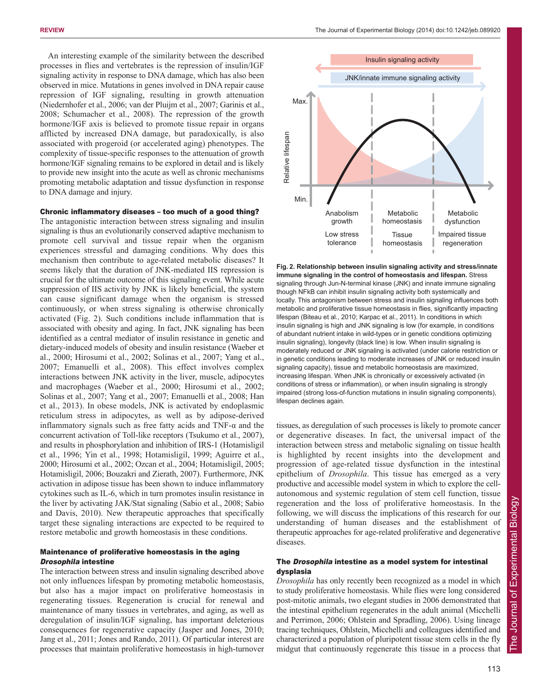An interesting example of the similarity between the described processes in flies and vertebrates is the repression of insulin/IGF signaling activity in response to DNA damage, which has also been observed in mice. Mutations in genes involved in DNA repair cause repression of IGF signaling, resulting in growth attenuation (Niedernhofer et al., 2006; van der Pluijm et al., 2007; Garinis et al., 2008; Schumacher et al., 2008). The repression of the growth hormone/IGF axis is believed to promote tissue repair in organs afflicted by increased DNA damage, but paradoxically, is also associated with progeroid (or accelerated aging) phenotypes. The complexity of tissue-specific responses to the attenuation of growth hormone/IGF signaling remains to be explored in detail and is likely to provide new insight into the acute as well as chronic mechanisms promoting metabolic adaptation and tissue dysfunction in response to DNA damage and injury.

#### Chronic inflammatory diseases – too much of a good thing?

The antagonistic interaction between stress signaling and insulin signaling is thus an evolutionarily conserved adaptive mechanism to promote cell survival and tissue repair when the organism experiences stressful and damaging conditions. Why does this mechanism then contribute to age-related metabolic diseases? It seems likely that the duration of JNK-mediated IIS repression is crucial for the ultimate outcome of this signaling event. While acute suppression of IIS activity by JNK is likely beneficial, the system can cause significant damage when the organism is stressed continuously, or when stress signaling is otherwise chronically activated (Fig. 2). Such conditions include inflammation that is associated with obesity and aging. In fact, JNK signaling has been identified as a central mediator of insulin resistance in genetic and dietary-induced models of obesity and insulin resistance (Waeber et al., 2000; Hirosumi et al., 2002; Solinas et al., 2007; Yang et al., 2007; Emanuelli et al., 2008). This effect involves complex interactions between JNK activity in the liver, muscle, adipocytes and macrophages (Waeber et al., 2000; Hirosumi et al., 2002; Solinas et al., 2007; Yang et al., 2007; Emanuelli et al., 2008; Han et al., 2013). In obese models, JNK is activated by endoplasmic reticulum stress in adipocytes, as well as by adipose-derived inflammatory signals such as free fatty acids and TNF- $\alpha$  and the concurrent activation of Toll-like receptors (Tsukumo et al., 2007), and results in phosphorylation and inhibition of IRS-1 (Hotamisligil et al., 1996; Yin et al., 1998; Hotamisligil, 1999; Aguirre et al., 2000; Hirosumi et al., 2002; Ozcan et al., 2004; Hotamisligil, 2005; Hotamisligil, 2006; Bouzakri and Zierath, 2007). Furthermore, JNK activation in adipose tissue has been shown to induce inflammatory cytokines such as IL-6, which in turn promotes insulin resistance in the liver by activating JAK/Stat signaling (Sabio et al., 2008; Sabio and Davis, 2010). New therapeutic approaches that specifically target these signaling interactions are expected to be required to restore metabolic and growth homeostasis in these conditions.

#### Maintenance of proliferative homeostasis in the aging Drosophila intestine

The interaction between stress and insulin signaling described above not only influences lifespan by promoting metabolic homeostasis, but also has a major impact on proliferative homeostasis in regenerating tissues. Regeneration is crucial for renewal and maintenance of many tissues in vertebrates, and aging, as well as deregulation of insulin/IGF signaling, has important deleterious consequences for regenerative capacity (Jasper and Jones, 2010; Jang et al., 2011; Jones and Rando, 2011). Of particular interest are processes that maintain proliferative homeostasis in high-turnover



**Fig. 2. Relationship between insulin signaling activity and stress/innate immune signaling in the control of homeostasis and lifespan.** Stress signaling through Jun-N-terminal kinase (JNK) and innate immune signaling though NFkB can inhibit insulin signaling activity both systemically and locally. This antagonism between stress and insulin signaling influences both metabolic and proliferative tissue homeostasis in flies, significantly impacting lifespan (Biteau et al., 2010; Karpac et al., 2011). In conditions in which insulin signaling is high and JNK signaling is low (for example, in conditions of abundant nutrient intake in wild-types or in genetic conditions optimizing insulin signaling), longevity (black line) is low. When insulin signaling is moderately reduced or JNK signaling is activated (under calorie restriction or in genetic conditions leading to moderate increases of JNK or reduced insulin signaling capacity), tissue and metabolic homeostasis are maximized, increasing lifespan. When JNK is chronically or excessively activated (in conditions of stress or inflammation), or when insulin signaling is strongly impaired (strong loss-of-function mutations in insulin signaling components), lifespan declines again.

tissues, as deregulation of such processes is likely to promote cancer or degenerative diseases. In fact, the universal impact of the interaction between stress and metabolic signaling on tissue health is highlighted by recent insights into the development and progression of age-related tissue dysfunction in the intestinal epithelium of *Drosophila*. This tissue has emerged as a very productive and accessible model system in which to explore the cellautonomous and systemic regulation of stem cell function, tissue regeneration and the loss of proliferative homeostasis. In the following, we will discuss the implications of this research for our understanding of human diseases and the establishment of therapeutic approaches for age-related proliferative and degenerative diseases.

## The Drosophila intestine as a model system for intestinal dysplasia

*Drosophila* has only recently been recognized as a model in which to study proliferative homeostasis. While flies were long considered post-mitotic animals, two elegant studies in 2006 demonstrated that the intestinal epithelium regenerates in the adult animal (Micchelli and Perrimon, 2006; Ohlstein and Spradling, 2006). Using lineage tracing techniques, Ohlstein, Micchelli and colleagues identified and characterized a population of pluripotent tissue stem cells in the fly midgut that continuously regenerate this tissue in a process that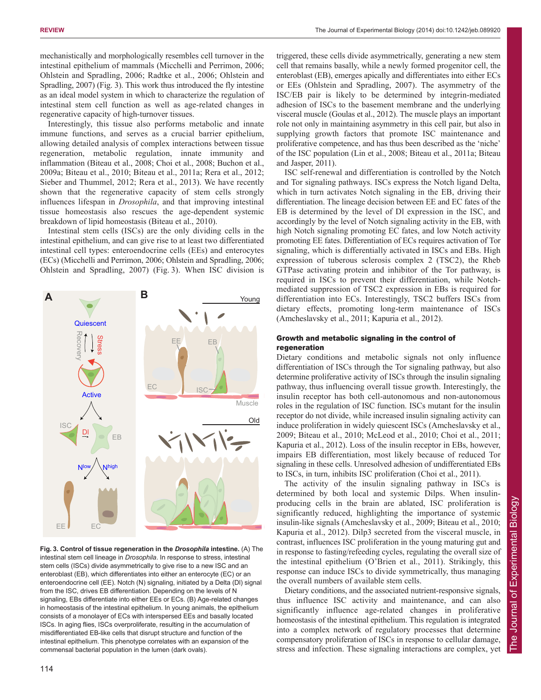mechanistically and morphologically resembles cell turnover in the intestinal epithelium of mammals (Micchelli and Perrimon, 2006; Ohlstein and Spradling, 2006; Radtke et al., 2006; Ohlstein and Spradling, 2007) (Fig. 3). This work thus introduced the fly intestine as an ideal model system in which to characterize the regulation of intestinal stem cell function as well as age-related changes in regenerative capacity of high-turnover tissues.

Interestingly, this tissue also performs metabolic and innate immune functions, and serves as a crucial barrier epithelium, allowing detailed analysis of complex interactions between tissue regeneration, metabolic regulation, innate immunity and inflammation (Biteau et al., 2008; Choi et al., 2008; Buchon et al., 2009a; Biteau et al., 2010; Biteau et al., 2011a; Rera et al., 2012; Sieber and Thummel, 2012; Rera et al., 2013). We have recently shown that the regenerative capacity of stem cells strongly influences lifespan in *Drosophila*, and that improving intestinal tissue homeostasis also rescues the age-dependent systemic breakdown of lipid homeostasis (Biteau et al., 2010).

Intestinal stem cells (ISCs) are the only dividing cells in the intestinal epithelium, and can give rise to at least two differentiated intestinal cell types: enteroendocrine cells (EEs) and enterocytes (ECs) (Micchelli and Perrimon, 2006; Ohlstein and Spradling, 2006; Ohlstein and Spradling, 2007) (Fig. 3). When ISC division is



**Fig. 3. Control of tissue regeneration in the** *Drosophila* **intestine.** (A) The intestinal stem cell lineage in *Drosophila*. In response to stress, intestinal stem cells (ISCs) divide asymmetrically to give rise to a new ISC and an enteroblast (EB), which differentiates into either an enterocyte (EC) or an enteroendocrine cell (EE). Notch (N) signaling, initiated by a Delta (Dl) signal from the ISC, drives EB differentiation. Depending on the levels of N signaling, EBs differentiate into either EEs or ECs. (B) Age-related changes in homeostasis of the intestinal epithelium. In young animals, the epithelium consists of a monolayer of ECs with interspersed EEs and basally located ISCs. In aging flies, ISCs overproliferate, resulting in the accumulation of misdifferentiated EB-like cells that disrupt structure and function of the intestinal epithelium. This phenotype correlates with an expansion of the commensal bacterial population in the lumen (dark ovals).

triggered, these cells divide asymmetrically, generating a new stem cell that remains basally, while a newly formed progenitor cell, the enteroblast (EB), emerges apically and differentiates into either ECs or EEs (Ohlstein and Spradling, 2007). The asymmetry of the ISC/EB pair is likely to be determined by integrin-mediated adhesion of ISCs to the basement membrane and the underlying visceral muscle (Goulas et al., 2012). The muscle plays an important role not only in maintaining asymmetry in this cell pair, but also in supplying growth factors that promote ISC maintenance and proliferative competence, and has thus been described as the 'niche' of the ISC population (Lin et al., 2008; Biteau et al., 2011a; Biteau and Jasper, 2011).

ISC self-renewal and differentiation is controlled by the Notch and Tor signaling pathways. ISCs express the Notch ligand Delta, which in turn activates Notch signaling in the EB, driving their differentiation. The lineage decision between EE and EC fates of the EB is determined by the level of Dl expression in the ISC, and accordingly by the level of Notch signaling activity in the EB, with high Notch signaling promoting EC fates, and low Notch activity promoting EE fates. Differentiation of ECs requires activation of Tor signaling, which is differentially activated in ISCs and EBs. High expression of tuberous sclerosis complex 2 (TSC2), the Rheb GTPase activating protein and inhibitor of the Tor pathway, is required in ISCs to prevent their differentiation, while Notchmediated suppression of TSC2 expression in EBs is required for differentiation into ECs. Interestingly, TSC2 buffers ISCs from dietary effects, promoting long-term maintenance of ISCs (Amcheslavsky et al., 2011; Kapuria et al., 2012).

## Growth and metabolic signaling in the control of regeneration

Dietary conditions and metabolic signals not only influence differentiation of ISCs through the Tor signaling pathway, but also determine proliferative activity of ISCs through the insulin signaling pathway, thus influencing overall tissue growth. Interestingly, the insulin receptor has both cell-autonomous and non-autonomous roles in the regulation of ISC function. ISCs mutant for the insulin receptor do not divide, while increased insulin signaling activity can induce proliferation in widely quiescent ISCs (Amcheslavsky et al., 2009; Biteau et al., 2010; McLeod et al., 2010; Choi et al., 2011; Kapuria et al., 2012). Loss of the insulin receptor in EBs, however, impairs EB differentiation, most likely because of reduced Tor signaling in these cells. Unresolved adhesion of undifferentiated EBs to ISCs, in turn, inhibits ISC proliferation (Choi et al., 2011).

The activity of the insulin signaling pathway in ISCs is determined by both local and systemic Dilps. When insulinproducing cells in the brain are ablated, ISC proliferation is significantly reduced, highlighting the importance of systemic insulin-like signals (Amcheslavsky et al., 2009; Biteau et al., 2010; Kapuria et al., 2012). Dilp3 secreted from the visceral muscle, in contrast, influences ISC proliferation in the young maturing gut and in response to fasting/refeeding cycles, regulating the overall size of the intestinal epithelium (O'Brien et al., 2011). Strikingly, this response can induce ISCs to divide symmetrically, thus managing the overall numbers of available stem cells.

Dietary conditions, and the associated nutrient-responsive signals, thus influence ISC activity and maintenance, and can also significantly influence age-related changes in proliferative homeostasis of the intestinal epithelium. This regulation is integrated into a complex network of regulatory processes that determine compensatory proliferation of ISCs in response to cellular damage, stress and infection. These signaling interactions are complex, yet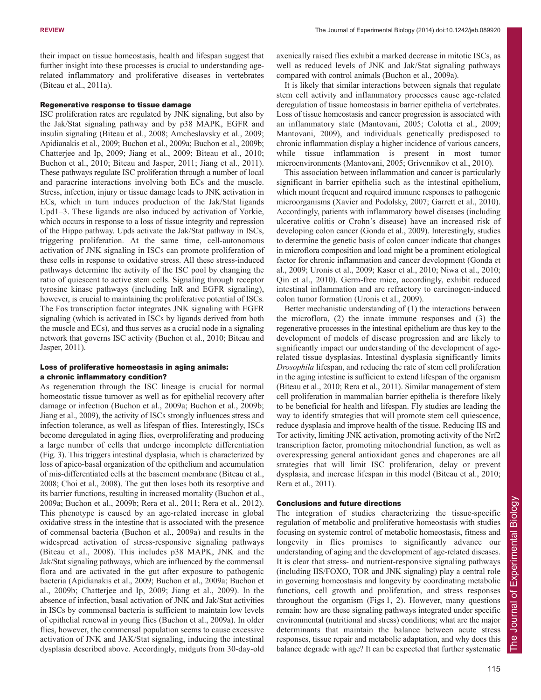their impact on tissue homeostasis, health and lifespan suggest that further insight into these processes is crucial to understanding agerelated inflammatory and proliferative diseases in vertebrates (Biteau et al., 2011a).

## Regenerative response to tissue damage

ISC proliferation rates are regulated by JNK signaling, but also by the Jak/Stat signaling pathway and by p38 MAPK, EGFR and insulin signaling (Biteau et al., 2008; Amcheslavsky et al., 2009; Apidianakis et al., 2009; Buchon et al., 2009a; Buchon et al., 2009b; Chatterjee and Ip, 2009; Jiang et al., 2009; Biteau et al., 2010; Buchon et al., 2010; Biteau and Jasper, 2011; Jiang et al., 2011). These pathways regulate ISC proliferation through a number of local and paracrine interactions involving both ECs and the muscle. Stress, infection, injury or tissue damage leads to JNK activation in ECs, which in turn induces production of the Jak/Stat ligands Upd1–3. These ligands are also induced by activation of Yorkie, which occurs in response to a loss of tissue integrity and repression of the Hippo pathway. Upds activate the Jak/Stat pathway in ISCs, triggering proliferation. At the same time, cell-autonomous activation of JNK signaling in ISCs can promote proliferation of these cells in response to oxidative stress. All these stress-induced pathways determine the activity of the ISC pool by changing the ratio of quiescent to active stem cells. Signaling through receptor tyrosine kinase pathways (including InR and EGFR signaling), however, is crucial to maintaining the proliferative potential of ISCs. The Fos transcription factor integrates JNK signaling with EGFR signaling (which is activated in ISCs by ligands derived from both the muscle and ECs), and thus serves as a crucial node in a signaling network that governs ISC activity (Buchon et al., 2010; Biteau and Jasper, 2011).

# Loss of proliferative homeostasis in aging animals: a chronic inflammatory condition?

As regeneration through the ISC lineage is crucial for normal homeostatic tissue turnover as well as for epithelial recovery after damage or infection (Buchon et al., 2009a; Buchon et al., 2009b; Jiang et al., 2009), the activity of ISCs strongly influences stress and infection tolerance, as well as lifespan of flies. Interestingly, ISCs become deregulated in aging flies, overproliferating and producing a large number of cells that undergo incomplete differentiation (Fig. 3). This triggers intestinal dysplasia, which is characterized by loss of apico-basal organization of the epithelium and accumulation of mis-differentiated cells at the basement membrane (Biteau et al., 2008; Choi et al., 2008). The gut then loses both its resorptive and its barrier functions, resulting in increased mortality (Buchon et al., 2009a; Buchon et al., 2009b; Rera et al., 2011; Rera et al., 2012). This phenotype is caused by an age-related increase in global oxidative stress in the intestine that is associated with the presence of commensal bacteria (Buchon et al., 2009a) and results in the widespread activation of stress-responsive signaling pathways (Biteau et al., 2008). This includes p38 MAPK, JNK and the Jak/Stat signaling pathways, which are influenced by the commensal flora and are activated in the gut after exposure to pathogenic bacteria (Apidianakis et al., 2009; Buchon et al., 2009a; Buchon et al., 2009b; Chatterjee and Ip, 2009; Jiang et al., 2009). In the absence of infection, basal activation of JNK and Jak/Stat activities in ISCs by commensal bacteria is sufficient to maintain low levels of epithelial renewal in young flies (Buchon et al., 2009a). In older flies, however, the commensal population seems to cause excessive activation of JNK and JAK/Stat signaling, inducing the intestinal dysplasia described above. Accordingly, midguts from 30-day-old axenically raised flies exhibit a marked decrease in mitotic ISCs, as well as reduced levels of JNK and Jak/Stat signaling pathways compared with control animals (Buchon et al., 2009a).

It is likely that similar interactions between signals that regulate stem cell activity and inflammatory processes cause age-related deregulation of tissue homeostasis in barrier epithelia of vertebrates. Loss of tissue homeostasis and cancer progression is associated with an inflammatory state (Mantovani, 2005; Colotta et al., 2009; Mantovani, 2009), and individuals genetically predisposed to chronic inflammation display a higher incidence of various cancers, while tissue inflammation is present in most tumor microenvironments (Mantovani, 2005; Grivennikov et al., 2010).

This association between inflammation and cancer is particularly significant in barrier epithelia such as the intestinal epithelium, which mount frequent and required immune responses to pathogenic microorganisms (Xavier and Podolsky, 2007; Garrett et al., 2010). Accordingly, patients with inflammatory bowel diseases (including ulcerative colitis or Crohn's disease) have an increased risk of developing colon cancer (Gonda et al., 2009). Interestingly, studies to determine the genetic basis of colon cancer indicate that changes in microflora composition and load might be a prominent etiological factor for chronic inflammation and cancer development (Gonda et al., 2009; Uronis et al., 2009; Kaser et al., 2010; Niwa et al., 2010; Qin et al., 2010). Germ-free mice, accordingly, exhibit reduced intestinal inflammation and are refractory to carcinogen-induced colon tumor formation (Uronis et al., 2009).

Better mechanistic understanding of (1) the interactions between the microflora, (2) the innate immune responses and (3) the regenerative processes in the intestinal epithelium are thus key to the development of models of disease progression and are likely to significantly impact our understanding of the development of agerelated tissue dysplasias. Intestinal dysplasia significantly limits *Drosophila* lifespan, and reducing the rate of stem cell proliferation in the aging intestine is sufficient to extend lifespan of the organism (Biteau et al., 2010; Rera et al., 2011). Similar management of stem cell proliferation in mammalian barrier epithelia is therefore likely to be beneficial for health and lifespan. Fly studies are leading the way to identify strategies that will promote stem cell quiescence, reduce dysplasia and improve health of the tissue. Reducing IIS and Tor activity, limiting JNK activation, promoting activity of the Nrf2 transcription factor, promoting mitochondrial function, as well as overexpressing general antioxidant genes and chaperones are all strategies that will limit ISC proliferation, delay or prevent dysplasia, and increase lifespan in this model (Biteau et al., 2010; Rera et al., 2011).

# Conclusions and future directions

The integration of studies characterizing the tissue-specific regulation of metabolic and proliferative homeostasis with studies focusing on systemic control of metabolic homeostasis, fitness and longevity in flies promises to significantly advance our understanding of aging and the development of age-related diseases. It is clear that stress- and nutrient-responsive signaling pathways (including IIS/FOXO, TOR and JNK signaling) play a central role in governing homeostasis and longevity by coordinating metabolic functions, cell growth and proliferation, and stress responses throughout the organism (Figs 1, 2). However, many questions remain: how are these signaling pathways integrated under specific environmental (nutritional and stress) conditions; what are the major determinants that maintain the balance between acute stress responses, tissue repair and metabolic adaptation, and why does this balance degrade with age? It can be expected that further systematic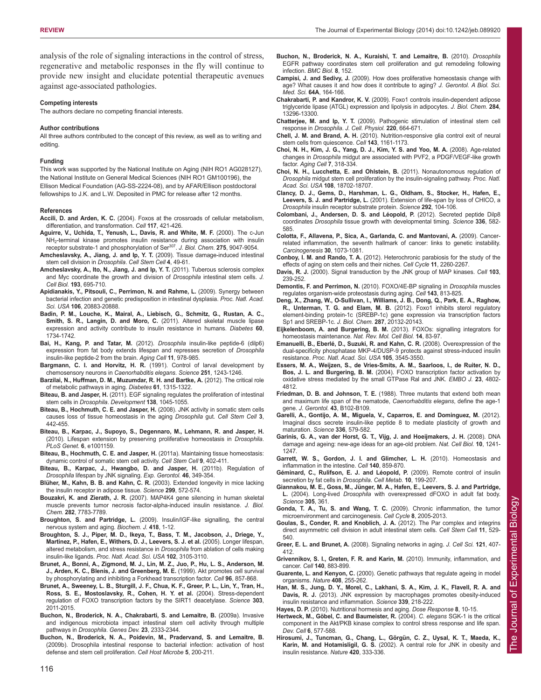analysis of the role of signaling interactions in the control of stress, regenerative and metabolic responses in the fly will continue to provide new insight and elucidate potential therapeutic avenues against age-associated pathologies.

#### **Competing interests**

The authors declare no competing financial interests.

#### **Author contributions**

All three authors contributed to the concept of this review, as well as to writing and editing.

#### **Funding**

This work was supported by the National Institute on Aging (NIH RO1 AG028127), the National Institute on General Medical Sciences (NIH RO1 GM100196), the Ellison Medical Foundation (AG-SS-2224-08), and by AFAR/Ellison postdoctoral fellowships to J.K. and L.W. Deposited in PMC for release after 12 months.

#### **References**

- **Accili, D. and Arden, K. C.** (2004). Foxos at the crossroads of cellular metabolism, differentiation, and transformation. *Cell* **117**, 421-426.
- **Aguirre, V., Uchida, T., Yenush, L., Davis, R. and White, M. F.** (2000). The c-Jun NH2-terminal kinase promotes insulin resistance during association with insulin receptor substrate-1 and phosphorylation of Ser307. *J. Biol. Chem.* **275**, 9047-9054.
- **Amcheslavsky, A., Jiang, J. and Ip, Y. T.** (2009). Tissue damage-induced intestinal stem cell division in *Drosophila*. *Cell Stem Cell* **4**, 49-61.
- **Amcheslavsky, A., Ito, N., Jiang, J. and Ip, Y. T.** (2011). Tuberous sclerosis complex and Myc coordinate the growth and division of *Drosophila* intestinal stem cells. *J. Cell Biol.* **193**, 695-710.
- **Apidianakis, Y., Pitsouli, C., Perrimon, N. and Rahme, L.** (2009). Synergy between bacterial infection and genetic predisposition in intestinal dysplasia. *Proc. Natl. Acad. Sci. USA* **106**, 20883-20888.
- **Badin, P. M., Louche, K., Mairal, A., Liebisch, G., Schmitz, G., Rustan, A. C., Smith, S. R., Langin, D. and Moro, C.** (2011). Altered skeletal muscle lipase expression and activity contribute to insulin resistance in humans. *Diabetes* **60**, 1734-1742.
- **Bai, H., Kang, P. and Tatar, M.** (2012). *Drosophila* insulin-like peptide-6 (dilp6) expression from fat body extends lifespan and represses secretion of *Drosophila* insulin-like peptide-2 from the brain. *Aging Cell* **11**, 978-985.
- **Bargmann, C. I. and Horvitz, H. R.** (1991). Control of larval development by chemosensory neurons in *Caenorhabditis elegans*. *Science* **251**, 1243-1246.
- **Barzilai, N., Huffman, D. M., Muzumdar, R. H. and Bartke, A.** (2012). The critical role of metabolic pathways in aging. *Diabetes* **61**, 1315-1322.
- **Biteau, B. and Jasper, H.** (2011). EGF signaling regulates the proliferation of intestinal stem cells in *Drosophila*. *Development* **138**, 1045-1055.
- **Biteau, B., Hochmuth, C. E. and Jasper, H.** (2008). JNK activity in somatic stem cells causes loss of tissue homeostasis in the aging *Drosophila* gut. *Cell Stem Cell* **3**, 442-455.
- **Biteau, B., Karpac, J., Supoyo, S., Degennaro, M., Lehmann, R. and Jasper, H.** (2010). Lifespan extension by preserving proliferative homeostasis in *Drosophila*. *PLoS Genet.* **6**, e1001159.
- **Biteau, B., Hochmuth, C. E. and Jasper, H.** (2011a). Maintaining tissue homeostasis: dynamic control of somatic stem cell activity. *Cell Stem Cell* **9**, 402-411.
- **Biteau, B., Karpac, J., Hwangbo, D. and Jasper, H.** (2011b). Regulation of *Drosophila* lifespan by JNK signaling. *Exp. Gerontol.* **46**, 349-354.
- **Blüher, M., Kahn, B. B. and Kahn, C. R.** (2003). Extended longevity in mice lacking the insulin receptor in adipose tissue. *Science* **299**, 572-574.
- **Bouzakri, K. and Zierath, J. R.** (2007). MAP4K4 gene silencing in human skeletal muscle prevents tumor necrosis factor-alpha-induced insulin resistance. *J. Biol. Chem.* **282**, 7783-7789.
- **Broughton, S. and Partridge, L.** (2009). Insulin/IGF-like signalling, the central nervous system and aging. *Biochem. J.* **418**, 1-12.
- **Broughton, S. J., Piper, M. D., Ikeya, T., Bass, T. M., Jacobson, J., Driege, Y., Martinez, P., Hafen, E., Withers, D. J., Leevers, S. J. et al.** (2005). Longer lifespan, altered metabolism, and stress resistance in *Drosophila* from ablation of cells making insulin-like ligands. *Proc. Natl. Acad. Sci. USA* **102**, 3105-3110.
- **Brunet, A., Bonni, A., Zigmond, M. J., Lin, M. Z., Juo, P., Hu, L. S., Anderson, M. J., Arden, K. C., Blenis, J. and Greenberg, M. E.** (1999). Akt promotes cell survival by phosphorylating and inhibiting a Forkhead transcription factor. *Cell* **96**, 857-868.
- **Brunet, A., Sweeney, L. B., Sturgill, J. F., Chua, K. F., Greer, P. L., Lin, Y., Tran, H., Ross, S. E., Mostoslavsky, R., Cohen, H. Y. et al.** (2004). Stress-dependent regulation of FOXO transcription factors by the SIRT1 deacetylase. *Science* **303**, 2011-2015.
- **Buchon, N., Broderick, N. A., Chakrabarti, S. and Lemaitre, B.** (2009a). Invasive and indigenous microbiota impact intestinal stem cell activity through multiple pathways in *Drosophila*. *Genes Dev.* **23**, 2333-2344.
- **Buchon, N., Broderick, N. A., Poidevin, M., Pradervand, S. and Lemaitre, B.** (2009b). Drosophila intestinal response to bacterial infection: activation of host defense and stem cell proliferation. *Cell Host Microbe* **5**, 200-211.
- **Buchon, N., Broderick, N. A., Kuraishi, T. and Lemaitre, B.** (2010). *Drosophila* EGFR pathway coordinates stem cell proliferation and gut remodeling following infection. *BMC Biol.* **8**, 152.
- **Campisi, J. and Sedivy, J.** (2009). How does proliferative homeostasis change with age? What causes it and how does it contribute to aging? *J. Gerontol. A Biol. Sci. Med. Sci.* **64A**, 164-166.
- **Chakrabarti, P. and Kandror, K. V.** (2009). Foxo1 controls insulin-dependent adipose triglyceride lipase (ATGL) expression and lipolysis in adipocytes. *J. Biol. Chem.* **284**, 13296-13300.
- **Chatterjee, M. and Ip, Y. T.** (2009). Pathogenic stimulation of intestinal stem cell response in *Drosophila*. *J. Cell. Physiol.* **220**, 664-671.
- **Chell, J. M. and Brand, A. H.** (2010). Nutrition-responsive glia control exit of neural stem cells from quiescence. *Cell* **143**, 1161-1173.
- **Choi, N. H., Kim, J. G., Yang, D. J., Kim, Y. S. and Yoo, M. A.** (2008). Age-related changes in *Drosophila* midgut are associated with PVF2, a PDGF/VEGF-like growth factor. *Aging Cell* **7**, 318-334.
- **Choi, N. H., Lucchetta, E. and Ohlstein, B.** (2011). Nonautonomous regulation of *Drosophila* midgut stem cell proliferation by the insulin-signaling pathway. *Proc. Natl. Acad. Sci. USA* **108**, 18702-18707.
- **Clancy, D. J., Gems, D., Harshman, L. G., Oldham, S., Stocker, H., Hafen, E., Leevers, S. J. and Partridge, L.** (2001). Extension of life-span by loss of CHICO, a *Drosophila* insulin receptor substrate protein. *Science* **292**, 104-106.
- **Colombani, J., Andersen, D. S. and Léopold, P.** (2012). Secreted peptide Dilp8 coordinates *Drosophila* tissue growth with developmental timing. *Science* **336**, 582- 585.
- **Colotta, F., Allavena, P., Sica, A., Garlanda, C. and Mantovani, A.** (2009). Cancerrelated inflammation, the seventh hallmark of cancer: links to genetic instability. *Carcinogenesis* **30**, 1073-1081.
- **Conboy, I. M. and Rando, T. A.** (2012). Heterochronic parabiosis for the study of the effects of aging on stem cells and their niches. *Cell Cycle* **11**, 2260-2267.
- **Davis, R. J.** (2000). Signal transduction by the JNK group of MAP kinases. *Cell* **103**, 239-252.
- **Demontis, F. and Perrimon, N.** (2010). FOXO/4E-BP signaling in *Drosophila* muscles regulates organism-wide proteostasis during aging. *Cell* **143**, 813-825.
- **Deng, X., Zhang, W., O-Sullivan, I., Williams, J. B., Dong, Q., Park, E. A., Raghow, R., Unterman, T. G. and Elam, M. B.** (2012). Foxo1 inhibits sterol regulatory element-binding protein-1c (SREBP-1c) gene expression via transcription factors Sp1 and SREBP-1c. *J. Biol. Chem.* **287**, 20132-20143.
- **Eijkelenboom, A. and Burgering, B. M.** (2013). FOXOs: signalling integrators for homeostasis maintenance. *Nat. Rev. Mol. Cell Biol.* **14**, 83-97.
- **Emanuelli, B., Eberlé, D., Suzuki, R. and Kahn, C. R.** (2008). Overexpression of the dual-specificity phosphatase MKP-4/DUSP-9 protects against stress-induced insulin resistance. *Proc. Natl. Acad. Sci. USA* **105**, 3545-3550.
- **Essers, M. A., Weijzen, S., de Vries-Smits, A. M., Saarloos, I., de Ruiter, N. D., Bos, J. L. and Burgering, B. M.** (2004). FOXO transcription factor activation by oxidative stress mediated by the small GTPase Ral and JNK. *EMBO J.* **23**, 4802- 4812.
- **Friedman, D. B. and Johnson, T. E.** (1988). Three mutants that extend both mean and maximum life span of the nematode, *Caenorhabditis elegans*, define the age-1 gene. *J. Gerontol.* **43**, B102-B109.
- **Garelli, A., Gontijo, A. M., Miguela, V., Caparros, E. and Dominguez, M.** (2012). Imaginal discs secrete insulin-like peptide 8 to mediate plasticity of growth and maturation. *Science* **336**, 579-582.
- **Garinis, G. A., van der Horst, G. T., Vijg, J. and Hoeijmakers, J. H.** (2008). DNA damage and ageing: new-age ideas for an age-old problem. *Nat. Cell Biol.* **10**, 1241- 1247.
- **Garrett, W. S., Gordon, J. I. and Glimcher, L. H.** (2010). Homeostasis and inflammation in the intestine. *Cell* **140**, 859-870.

**Géminard, C., Rulifson, E. J. and Léopold, P.** (2009). Remote control of insulin secretion by fat cells in *Drosophila*. *Cell Metab.* **10**, 199-207.

- **Giannakou, M. E., Goss, M., Jünger, M. A., Hafen, E., Leevers, S. J. and Partridge, L.** (2004). Long-lived *Drosophila* with overexpressed dFOXO in adult fat body. *Science* **305**, 361.
- **Gonda, T. A., Tu, S. and Wang, T. C.** (2009). Chronic inflammation, the tumor microenvironment and carcinogenesis. *Cell Cycle* **8**, 2005-2013.
- **Goulas, S., Conder, R. and Knoblich, J. A.** (2012). The Par complex and integrins direct asymmetric cell division in adult intestinal stem cells. *Cell Stem Cell* **11**, 529- 540.
- **Greer, E. L. and Brunet, A.** (2008). Signaling networks in aging. *J. Cell Sci.* **121**, 407- 412.
- **Grivennikov, S. I., Greten, F. R. and Karin, M.** (2010). Immunity, inflammation, and cancer. *Cell* **140**, 883-899.
- **Guarente, L. and Kenyon, C.** (2000). Genetic pathways that regulate ageing in model organisms. *Nature* **408**, 255-262.
- **Han, M. S., Jung, D. Y., Morel, C., Lakhani, S. A., Kim, J. K., Flavell, R. A. and Davis, R. J.** (2013). JNK expression by macrophages promotes obesity-induced insulin resistance and inflammation. *Science* **339**, 218-222.
- **Hayes, D. P.** (2010). Nutritional hormesis and aging. *Dose Response* **8**, 10-15.
- **Hertweck, M., Göbel, C. and Baumeister, R.** (2004). *C. elegans* SGK-1 is the critical component in the Akt/PKB kinase complex to control stress response and life span. *Dev. Cell* **6**, 577-588.
- **Hirosumi, J., Tuncman, G., Chang, L., Görgün, C. Z., Uysal, K. T., Maeda, K., Karin, M. and Hotamisligil, G. S.** (2002). A central role for JNK in obesity and insulin resistance. *Nature* **420**, 333-336.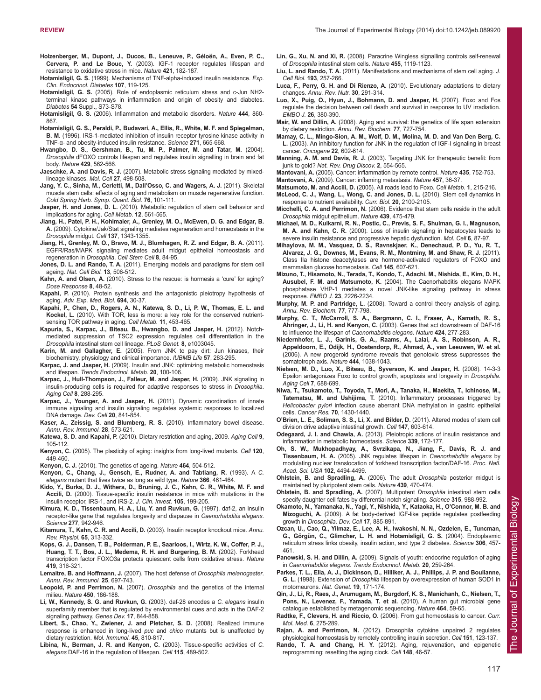- **Holzenberger, M., Dupont, J., Ducos, B., Leneuve, P., Géloën, A., Even, P. C., Cervera, P. and Le Bouc, Y.** (2003). IGF-1 receptor regulates lifespan and resistance to oxidative stress in mice. *Nature* **421**, 182-187.
- **Hotamisligil, G. S.** (1999). Mechanisms of TNF-alpha-induced insulin resistance. *Exp. Clin. Endocrinol. Diabetes* **107**, 119-125.
- **Hotamisligil, G. S.** (2005). Role of endoplasmic reticulum stress and c-Jun NH2 terminal kinase pathways in inflammation and origin of obesity and diabetes. *Diabetes* **54** Suppl., S73-S78.
- **Hotamisligil, G. S.** (2006). Inflammation and metabolic disorders. *Nature* **444**, 860- 867.
- **Hotamisligil, G. S., Peraldi, P., Budavari, A., Ellis, R., White, M. F. and Spiegelman, B. M.** (1996). IRS-1-mediated inhibition of insulin receptor tyrosine kinase activity in TNF-α- and obesity-induced insulin resistance. *Science* **271**, 665-668.
- **Hwangbo, D. S., Gershman, B., Tu, M. P., Palmer, M. and Tatar, M.** (2004). *Drosophila* dFOXO controls lifespan and regulates insulin signalling in brain and fat body. *Nature* **429**, 562-566.
- **Jaeschke, A. and Davis, R. J.** (2007). Metabolic stress signaling mediated by mixedlineage kinases. *Mol. Cell* **27**, 498-508.
- **Jang, Y. C., Sinha, M., Cerletti, M., Dall'Osso, C. and Wagers, A. J.** (2011). Skeletal muscle stem cells: effects of aging and metabolism on muscle regenerative function. *Cold Spring Harb. Symp. Quant. Biol.* **76**, 101-111.
- **Jasper, H. and Jones, D. L.** (2010). Metabolic regulation of stem cell behavior and implications for aging. *Cell Metab.* **12**, 561-565.
- **Jiang, H., Patel, P. H., Kohlmaier, A., Grenley, M. O., McEwen, D. G. and Edgar, B. A.** (2009). Cytokine/Jak/Stat signaling mediates regeneration and homeostasis in the *Drosophila* midgut. *Cell* **137**, 1343-1355.
- **Jiang, H., Grenley, M. O., Bravo, M. J., Blumhagen, R. Z. and Edgar, B. A.** (2011). EGFR/Ras/MAPK signaling mediates adult midgut epithelial homeostasis and regeneration in *Drosophila*. *Cell Stem Cell* **8**, 84-95.
- **Jones, D. L. and Rando, T. A.** (2011). Emerging models and paradigms for stem cell ageing. *Nat. Cell Biol.* **13**, 506-512.
- **Kahn, A. and Olsen, A.** (2010). Stress to the rescue: is hormesis a 'cure' for aging? *Dose Response* **8**, 48-52.
- **Kapahi, P.** (2010). Protein synthesis and the antagonistic pleiotropy hypothesis of aging. *Adv. Exp. Med. Biol.* **694**, 30-37.
- **Kapahi, P., Chen, D., Rogers, A. N., Katewa, S. D., Li, P. W., Thomas, E. L. and Kockel, L.** (2010). With TOR, less is more: a key role for the conserved nutrientsensing TOR pathway in aging. *Cell Metab.* **11**, 453-465.
- **Kapuria, S., Karpac, J., Biteau, B., Hwangbo, D. and Jasper, H.** (2012). Notchmediated suppression of TSC2 expression regulates cell differentiation in the *Drosophila* intestinal stem cell lineage. *PLoS Genet.* **8**, e1003045.
- **Karin, M. and Gallagher, E.** (2005). From JNK to pay dirt: Jun kinases, their biochemistry, physiology and clinical importance. *IUBMB Life* **57**, 283-295.
- **Karpac, J. and Jasper, H.** (2009). Insulin and JNK: optimizing metabolic homeostasis and lifespan. *Trends Endocrinol. Metab.* **20**, 100-106.
- **Karpac, J., Hull-Thompson, J., Falleur, M. and Jasper, H.** (2009). JNK signaling in insulin-producing cells is required for adaptive responses to stress in *Drosophila*. *Aging Cell* **8**, 288-295.
- **Karpac, J., Younger, A. and Jasper, H.** (2011). Dynamic coordination of innate immune signaling and insulin signaling regulates systemic responses to localized DNA damage. *Dev. Cell* **20**, 841-854.
- **Kaser, A., Zeissig, S. and Blumberg, R. S.** (2010). Inflammatory bowel disease. *Annu. Rev. Immunol.* **28**, 573-621.
- **Katewa, S. D. and Kapahi, P.** (2010). Dietary restriction and aging, 2009. *Aging Cell* **9**, 105-112.
- **Kenyon, C.** (2005). The plasticity of aging: insights from long-lived mutants. *Cell* **120**, 449-460.
- **Kenyon, C. J.** (2010). The genetics of ageing. *Nature* **464**, 504-512.
- **Kenyon, C., Chang, J., Gensch, E., Rudner, A. and Tabtiang, R.** (1993). A *C. elegans* mutant that lives twice as long as wild type. *Nature* **366**, 461-464.
- **Kido, Y., Burks, D. J., Withers, D., Bruning, J. C., Kahn, C. R., White, M. F. and Accili, D.** (2000). Tissue-specific insulin resistance in mice with mutations in the insulin receptor, IRS-1, and IRS-2. *J. Clin. Invest.* **105**, 199-205.
- **Kimura, K. D., Tissenbaum, H. A., Liu, Y. and Ruvkun, G.** (1997). daf-2, an insulin receptor-like gene that regulates longevity and diapause in *Caenorhabditis elegans*. *Science* **277**, 942-946.
- **Kitamura, T., Kahn, C. R. and Accili, D.** (2003). Insulin receptor knockout mice. *Annu. Rev. Physiol.* **65**, 313-332.
- **Kops, G. J., Dansen, T. B., Polderman, P. E., Saarloos, I., Wirtz, K. W., Coffer, P. J., Huang, T. T., Bos, J. L., Medema, R. H. and Burgering, B. M.** (2002). Forkhead transcription factor FOXO3a protects quiescent cells from oxidative stress. *Nature* **419**, 316-321.
- **Lemaitre, B. and Hoffmann, J.** (2007). The host defense of *Drosophila melanogaster*. *Annu. Rev. Immunol.* **25**, 697-743.
- **Leopold, P. and Perrimon, N.** (2007). *Drosophila* and the genetics of the internal milieu. *Nature* **450**, 186-188.
- **Li, W., Kennedy, S. G. and Ruvkun, G.** (2003). daf-28 encodes a *C. elegans* insulin superfamily member that is regulated by environmental cues and acts in the DAF-2 signaling pathway. *Genes Dev.* **17**, 844-858.
- **Libert, S., Chao, Y., Zwiener, J. and Pletcher, S. D.** (2008). Realized immune response is enhanced in long-lived *puc* and *chico* mutants but is unaffected by dietary restriction. *Mol. Immunol.* **45**, 810-817.
- **Libina, N., Berman, J. R. and Kenyon, C.** (2003). Tissue-specific activities of *C. elegans* DAF-16 in the regulation of lifespan. *Cell* **115**, 489-502.
- **Lin, G., Xu, N. and Xi, R.** (2008). Paracrine Wingless signalling controls self-renewal of *Drosophila* intestinal stem cells. *Nature* **455**, 1119-1123.
- **Liu, L. and Rando, T. A.** (2011). Manifestations and mechanisms of stem cell aging. *J. Cell Biol.* **193**, 257-266.
- **Luca, F., Perry, G. H. and Di Rienzo, A.** (2010). Evolutionary adaptations to dietary changes. *Annu. Rev. Nutr.* **30**, 291-314.
- **Luo, X., Puig, O., Hyun, J., Bohmann, D. and Jasper, H.** (2007). Foxo and Fos regulate the decision between cell death and survival in response to UV irradiation. *EMBO J.* **26**, 380-390.

**Mair, W. and Dillin, A.** (2008). Aging and survival: the genetics of life span extension by dietary restriction. *Annu. Rev. Biochem.* **77**, 727-754.

**Mamay, C. L., Mingo-Sion, A. M., Wolf, D. M., Molina, M. D. and Van Den Berg, C. L.** (2003). An inhibitory function for JNK in the regulation of IGF-I signaling in breast cancer. *Oncogene* **22**, 602-614.

**Manning, A. M. and Davis, R. J.** (2003). Targeting JNK for therapeutic benefit: from junk to gold? *Nat. Rev. Drug Discov.* **2**, 554-565.

- **Mantovani, A.** (2005). Cancer: inflammation by remote control. *Nature* **435**, 752-753.
- **Mantovani, A.** (2009). Cancer: inflaming metastasis. *Nature* **457**, 36-37.
- **Matsumoto, M. and Accili, D.** (2005). All roads lead to Foxo. *Cell Metab.* **1**, 215-216. **McLeod, C. J., Wang, L., Wong, C. and Jones, D. L.** (2010). Stem cell dynamics in
- response to nutrient availability. *Curr. Biol.* **20**, 2100-2105. **Micchelli, C. A. and Perrimon, N.** (2006). Evidence that stem cells reside in the adult *Drosophila* midgut epithelium. *Nature* **439**, 475-479.
- **Michael, M. D., Kulkarni, R. N., Postic, C., Previs, S. F., Shulman, G. I., Magnuson, M. A. and Kahn, C. R.** (2000). Loss of insulin signaling in hepatocytes leads to severe insulin resistance and progressive hepatic dysfunction. *Mol. Cell* **6**, 87-97.
- **Mihaylova, M. M., Vasquez, D. S., Ravnskjaer, K., Denechaud, P. D., Yu, R. T., Alvarez, J. G., Downes, M., Evans, R. M., Montminy, M. and Shaw, R. J.** (2011). Class IIa histone deacetylases are hormone-activated regulators of FOXO and mammalian glucose homeostasis. *Cell* **145**, 607-621.
- **Mizuno, T., Hisamoto, N., Terada, T., Kondo, T., Adachi, M., Nishida, E., Kim, D. H., Ausubel, F. M. and Matsumoto, K.** (2004). The Caenorhabditis elegans MAPK phosphatase VHP-1 mediates a novel JNK-like signaling pathway in stress response. *EMBO J.* **23**, 2226-2234.
- **Murphy, M. P. and Partridge, L.** (2008). Toward a control theory analysis of aging. *Annu. Rev. Biochem.* **77**, 777-798.
- **Murphy, C. T., McCarroll, S. A., Bargmann, C. I., Fraser, A., Kamath, R. S., Ahringer, J., Li, H. and Kenyon, C.** (2003). Genes that act downstream of DAF-16 to influence the lifespan of *Caenorhabditis elegans*. *Nature* **424**, 277-283.
- **Niedernhofer, L. J., Garinis, G. A., Raams, A., Lalai, A. S., Robinson, A. R., Appeldoorn, E., Odijk, H., Oostendorp, R., Ahmad, A., van Leeuwen, W. et al.** (2006). A new progeroid syndrome reveals that genotoxic stress suppresses the somatotroph axis. *Nature* **444**, 1038-1043.
- **Nielsen, M. D., Luo, X., Biteau, B., Syverson, K. and Jasper, H.** (2008). 14-3-3 Epsilon antagonizes Foxo to control growth, apoptosis and longevity in *Drosophila*. *Aging Cell* **7**, 688-699.
- **Niwa, T., Tsukamoto, T., Toyoda, T., Mori, A., Tanaka, H., Maekita, T., Ichinose, M., Tatematsu, M. and Ushijima, T.** (2010). Inflammatory processes triggered by *Helicobacter pylori* infection cause aberrant DNA methylation in gastric epithelial cells. *Cancer Res.* **70**, 1430-1440.
- **O'Brien, L. E., Soliman, S. S., Li, X. and Bilder, D.** (2011). Altered modes of stem cell division drive adaptive intestinal growth. *Cell* **147**, 603-614.
- **Odegaard, J. I. and Chawla, A.** (2013). Pleiotropic actions of insulin resistance and inflammation in metabolic homeostasis. *Science* **339**, 172-177.
- **Oh, S. W., Mukhopadhyay, A., Svrzikapa, N., Jiang, F., Davis, R. J. and Tissenbaum, H. A.** (2005). JNK regulates lifespan in *Caenorhabditis elegans* by modulating nuclear translocation of forkhead transcription factor/DAF-16. *Proc. Natl. Acad. Sci. USA* **102**, 4494-4499.
- **Ohlstein, B. and Spradling, A.** (2006). The adult *Drosophila* posterior midgut is maintained by pluripotent stem cells. *Nature* **439**, 470-474.
- **Ohlstein, B. and Spradling, A.** (2007). Multipotent *Drosophila* intestinal stem cells specify daughter cell fates by differential notch signaling. *Science* **315**, 988-992.
- **Okamoto, N., Yamanaka, N., Yagi, Y., Nishida, Y., Kataoka, H., O'Connor, M. B. and Mizoguchi, A.** (2009). A fat body-derived IGF-like peptide regulates postfeeding growth in *Drosophila*. *Dev. Cell* **17**, 885-891.
- **Ozcan, U., Cao, Q., Yilmaz, E., Lee, A. H., Iwakoshi, N. N., Ozdelen, E., Tuncman, G., Görgün, C., Glimcher, L. H. and Hotamisligil, G. S.** (2004). Endoplasmic reticulum stress links obesity, insulin action, and type 2 diabetes. *Science* **306**, 457- 461.
- **Panowski, S. H. and Dillin, A.** (2009). Signals of youth: endocrine regulation of aging in *Caenorhabditis elegans*. *Trends Endocrinol. Metab.* **20**, 259-264.
- **Parkes, T. L., Elia, A. J., Dickinson, D., Hilliker, A. J., Phillips, J. P. and Boulianne, G. L.** (1998). Extension of *Drosophila* lifespan by overexpression of human SOD1 in motorneurons. *Nat. Genet.* **19**, 171-174.
- **Qin, J., Li, R., Raes, J., Arumugam, M., Burgdorf, K. S., Manichanh, C., Nielsen, T., Pons, N., Levenez, F., Yamada, T. et al.** (2010). A human gut microbial gene catalogue established by metagenomic sequencing. *Nature* **464**, 59-65.
- **Radtke, F., Clevers, H. and Riccio, O.** (2006). From gut homeostasis to cancer. *Curr. Mol. Med.* **6**, 275-289.
- **Rajan, A. and Perrimon, N.** (2012). Drosophila cytokine unpaired 2 regulates physiological homeostasis by remotely controlling insulin secretion. *Cell* **151**, 123-137.
- **Rando, T. A. and Chang, H. Y.** (2012). Aging, rejuvenation, and epigenetic reprogramming: resetting the aging clock. *Cell* **148**, 46-57.